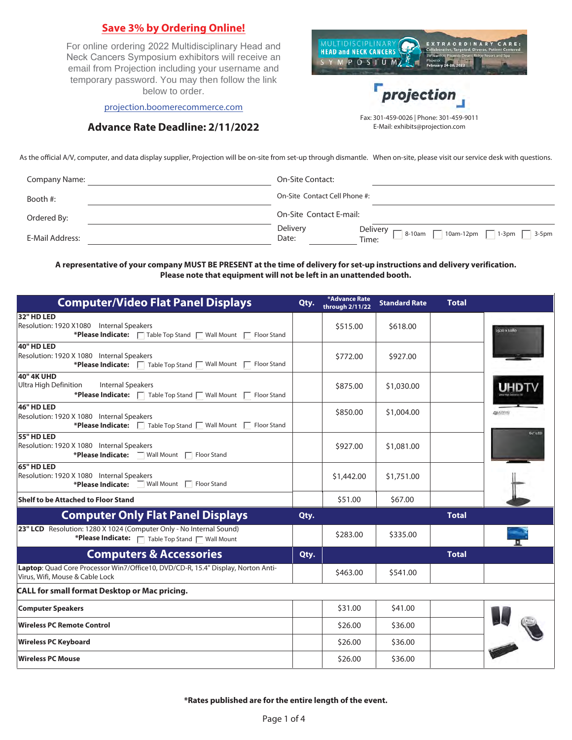## **Save 3% by Ordering Online!**

For online ordering 2022 Multidisciplinary Head and Neck Cancers Symposium exhibitors will receive an email from Projection including your username and temporary password. You may then follow the link below to order.



[projection.boomerecommerce.com](https://projection.boomerecommerce.com/)

## **Advance Rate Deadline: 2/11/2022**

E-Mail: exhibits@projection.com

As the official A/V, computer, and data display supplier, Projection will be on-site from set-up through dismantle. When on-site, please visit our service desk with questions.

| Company Name:   | On-Site Contact:              |                                                                                          |
|-----------------|-------------------------------|------------------------------------------------------------------------------------------|
| Booth #:        | On-Site Contact Cell Phone #: |                                                                                          |
| Ordered By:     | On-Site Contact E-mail:       |                                                                                          |
| E-Mail Address: | Delivery<br>Date:             | Delivery $\Box$<br>$\int 8-10$ am<br>$\Box$ 10am-12pm $\Box$ 1-3pm $\Box$ 3-5pm<br>Time: |

**A representative of your company MUST BE PRESENT at the time of delivery for set-up instructions and delivery verification. Please note that equipment will not be left in an unattended booth.** 

| <b>Computer/Video Flat Panel Displays</b>                                                                                                   | Qty. | *Advance Rate<br>through 2/11/22 | <b>Standard Rate</b> | <b>Total</b> |                                   |
|---------------------------------------------------------------------------------------------------------------------------------------------|------|----------------------------------|----------------------|--------------|-----------------------------------|
| 32" HD LED<br>Resolution: 1920 X1080 Internal Speakers<br>*Please Indicate:   Table Top Stand   Wall Mount   Floor Stand                    |      | \$515.00                         | \$618.00             |              | 1920 X 1080                       |
| 40" HD LED<br>Resolution: 1920 X 1080 Internal Speakers<br>*Please Indicate:   Table Top Stand   Wall Mount  <br>Floor Stand                |      | \$772.00                         | \$927.00             |              |                                   |
| <b>40" 4K UHD</b><br>Ultra High Definition<br><b>Internal Speakers</b><br>*Please Indicate:   Table Top Stand   Wall Mount  <br>Floor Stand |      | \$875.00                         | \$1,030.00           |              |                                   |
| 46" HD LED<br>Resolution: 1920 X 1080 Internal Speakers<br>*Please Indicate:   Table Top Stand   Wall Mount   Floor Stand                   |      | \$850.00                         | \$1,004.00           |              | <b>ANAURAHO</b><br><b>60" LED</b> |
| 55" HD LED<br>Resolution: 1920 X 1080 Internal Speakers<br>*Please Indicate:<br>$\Box$ Wall Mount $\Box$ Floor Stand                        |      | \$927.00                         | \$1,081.00           |              |                                   |
| 65" HD LED<br>Resolution: 1920 X 1080 Internal Speakers<br>*Please Indicate: Wall Mount   Floor Stand                                       |      | \$1,442.00                       | \$1,751.00           |              |                                   |
| <b>Shelf to be Attached to Floor Stand</b>                                                                                                  |      | \$51.00                          | \$67.00              |              |                                   |
| <b>Computer Only Flat Panel Displays</b>                                                                                                    | Qty. |                                  |                      | <b>Total</b> |                                   |
| 23" LCD Resolution: 1280 X 1024 (Computer Only - No Internal Sound)<br>*Please Indicate:   Table Top Stand   Wall Mount                     |      | \$283.00                         | \$335.00             |              |                                   |
| <b>Computers &amp; Accessories</b>                                                                                                          | Qty. |                                  |                      | <b>Total</b> |                                   |
| Laptop: Quad Core Processor Win7/Office10, DVD/CD-R, 15.4" Display, Norton Anti-<br>Virus, Wifi, Mouse & Cable Lock                         |      | \$463.00                         | \$541.00             |              |                                   |
| <b>CALL for small format Desktop or Mac pricing.</b>                                                                                        |      |                                  |                      |              |                                   |
| <b>Computer Speakers</b>                                                                                                                    |      | \$31.00                          | \$41.00              |              |                                   |
| <b>Wireless PC Remote Control</b>                                                                                                           |      | \$26.00                          | \$36.00              |              |                                   |
| <b>Wireless PC Keyboard</b>                                                                                                                 |      | \$26.00                          | \$36.00              |              |                                   |
| <b>Wireless PC Mouse</b>                                                                                                                    |      | \$26.00                          | \$36.00              |              |                                   |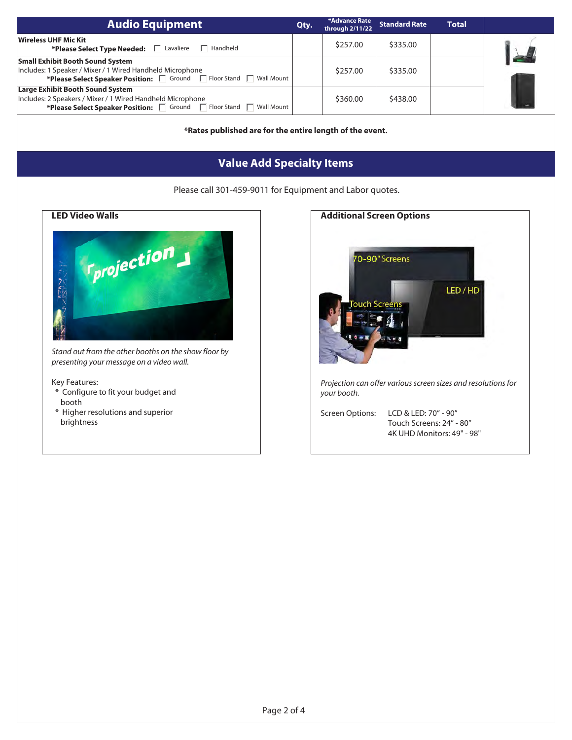| <b>Audio Equipment</b>                                                                                                                                                        | Qty. | *Advance Rate<br>through 2/11/22 | <b>Standard Rate</b> | <b>Total</b> |               |
|-------------------------------------------------------------------------------------------------------------------------------------------------------------------------------|------|----------------------------------|----------------------|--------------|---------------|
| Wireless UHF Mic Kit<br>*Please Select Type Needed:   Lavaliere<br>$\Box$ Handheld                                                                                            |      | \$257.00                         | \$335.00             |              | $\frac{1}{2}$ |
| <b>Small Exhibit Booth Sound System</b><br>Includes: 1 Speaker / Mixer / 1 Wired Handheld Microphone<br>*Please Select Speaker Position:   Ground   Floor Stand   Wall Mount  |      | \$257.00                         | \$335.00             |              |               |
| <b>Large Exhibit Booth Sound System</b><br>Includes: 2 Speakers / Mixer / 1 Wired Handheld Microphone<br>*Please Select Speaker Position:   Ground   Floor Stand   Wall Mount |      | \$360.00                         | \$438.00             |              |               |

**\*Rates published are for the entire length of the event.** 

# **Value Add Specialty Items**

Please call 301-459-9011 for Equipment and Labor quotes.



Stand out from the other booths on the show floor by presenting your message on a video wall.

#### Key Features:

- \* Configure to fit your budget and booth
- \* Higher resolutions and superior brightness

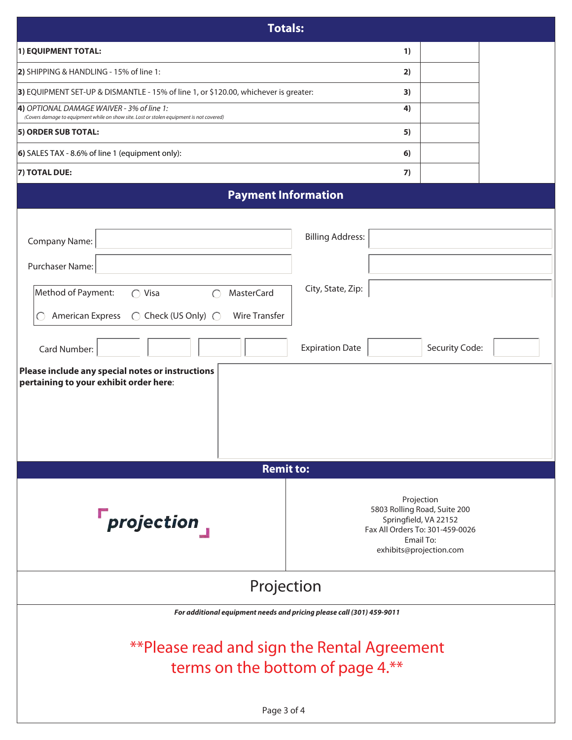| <b>Totals:</b>                                                                                                                                                      |                                                                                                                                                |                |  |
|---------------------------------------------------------------------------------------------------------------------------------------------------------------------|------------------------------------------------------------------------------------------------------------------------------------------------|----------------|--|
| 1) EQUIPMENT TOTAL:                                                                                                                                                 | 1)                                                                                                                                             |                |  |
| 2) SHIPPING & HANDLING - 15% of line 1:                                                                                                                             | 2)                                                                                                                                             |                |  |
| 3) EQUIPMENT SET-UP & DISMANTLE - 15% of line 1, or \$120.00, whichever is greater:                                                                                 |                                                                                                                                                |                |  |
| 4) OPTIONAL DAMAGE WAIVER - 3% of line 1:<br>(Covers damage to equipment while on show site. Lost or stolen equipment is not covered)                               | 4)                                                                                                                                             |                |  |
| 5) ORDER SUB TOTAL:                                                                                                                                                 | 5)                                                                                                                                             |                |  |
| 6) SALES TAX - 8.6% of line 1 (equipment only):                                                                                                                     | 6)                                                                                                                                             |                |  |
| 7) TOTAL DUE:                                                                                                                                                       | 7)                                                                                                                                             |                |  |
| <b>Payment Information</b>                                                                                                                                          |                                                                                                                                                |                |  |
| <b>Company Name:</b>                                                                                                                                                | <b>Billing Address:</b>                                                                                                                        |                |  |
| Purchaser Name:                                                                                                                                                     |                                                                                                                                                |                |  |
| Method of Payment:<br>$\bigcirc$ Visa<br><b>MasterCard</b><br>$\bigcap$<br>$\bigcirc$ Check (US Only) $\bigcirc$<br><b>American Express</b><br><b>Wire Transfer</b> | City, State, Zip:                                                                                                                              |                |  |
| Card Number:                                                                                                                                                        | <b>Expiration Date</b>                                                                                                                         | Security Code: |  |
| Please include any special notes or instructions<br>pertaining to your exhibit order here:                                                                          |                                                                                                                                                |                |  |
| <b>Remit to:</b>                                                                                                                                                    |                                                                                                                                                |                |  |
| $r_{\textit{projection}}$                                                                                                                                           | Projection<br>5803 Rolling Road, Suite 200<br>Springfield, VA 22152<br>Fax All Orders To: 301-459-0026<br>Email To:<br>exhibits@projection.com |                |  |
| Projection                                                                                                                                                          |                                                                                                                                                |                |  |
| For additional equipment needs and pricing please call (301) 459-9011                                                                                               |                                                                                                                                                |                |  |
| **Please read and sign the Rental Agreement<br>terms on the bottom of page 4.**                                                                                     |                                                                                                                                                |                |  |
| Page 3 of 4                                                                                                                                                         |                                                                                                                                                |                |  |